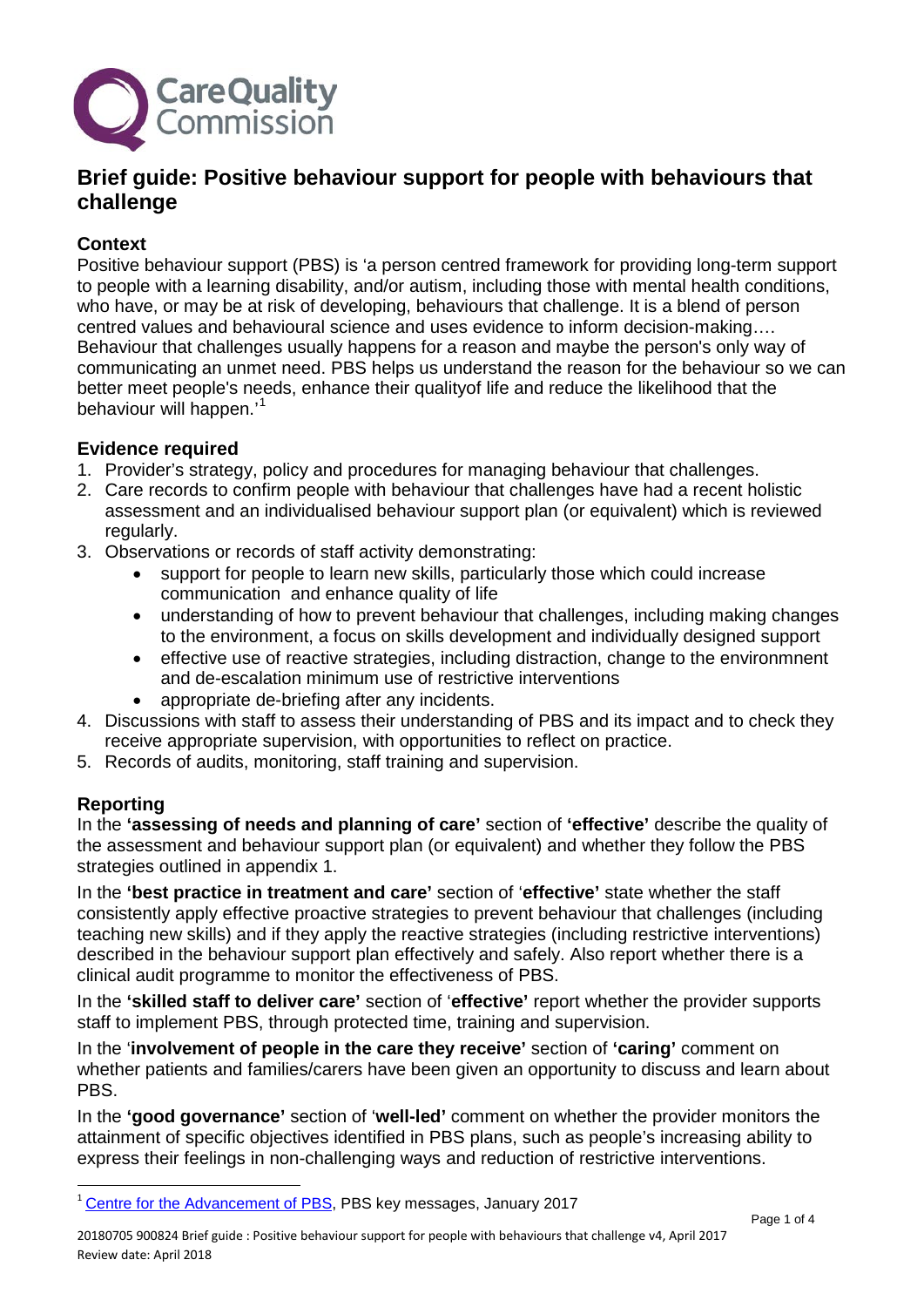

# **Brief guide: Positive behaviour support for people with behaviours that challenge**

### **Context**

Positive behaviour support (PBS) is 'a person centred framework for providing long-term support to people with a learning disability, and/or autism, including those with mental health conditions, who have, or may be at risk of developing, behaviours that challenge. It is a blend of person centred values and behavioural science and uses evidence to inform decision-making…. Behaviour that challenges usually happens for a reason and maybe the person's only way of communicating an unmet need. PBS helps us understand the reason for the behaviour so we can better meet people's needs, enhance their qualityof life and reduce the likelihood that the behaviour will happen.'<sup>[1](#page-0-0)</sup>

#### **Evidence required**

- 1. Provider's strategy, policy and procedures for managing behaviour that challenges.
- 2. Care records to confirm people with behaviour that challenges have had a recent holistic assessment and an individualised behaviour support plan (or equivalent) which is reviewed regularly.
- 3. Observations or records of staff activity demonstrating:
	- support for people to learn new skills, particularly those which could increase communication and enhance quality of life
	- understanding of how to prevent behaviour that challenges, including making changes to the environment, a focus on skills development and individually designed support
	- effective use of reactive strategies, including distraction, change to the environmnent and de-escalation minimum use of restrictive interventions
	- appropriate de-briefing after any incidents.
- 4. Discussions with staff to assess their understanding of PBS and its impact and to check they receive appropriate supervision, with opportunities to reflect on practice.
- 5. Records of audits, monitoring, staff training and supervision.

## **Reporting**

In the **'assessing of needs and planning of care'** section of **'effective'** describe the quality of the assessment and behaviour support plan (or equivalent) and whether they follow the PBS strategies outlined in appendix 1.

In the **'best practice in treatment and care'** section of '**effective'** state whether the staff consistently apply effective proactive strategies to prevent behaviour that challenges (including teaching new skills) and if they apply the reactive strategies (including restrictive interventions) described in the behaviour support plan effectively and safely. Also report whether there is a clinical audit programme to monitor the effectiveness of PBS.

In the **'skilled staff to deliver care'** section of '**effective'** report whether the provider supports staff to implement PBS, through protected time, training and supervision.

In the '**involvement of people in the care they receive'** section of **'caring'** comment on whether patients and families/carers have been given an opportunity to discuss and learn about PBS.

In the **'good governance'** section of '**well-led'** comment on whether the provider monitors the attainment of specific objectives identified in PBS plans, such as people's increasing ability to express their feelings in non-challenging ways and reduction of restrictive interventions.

<span id="page-0-0"></span> $\overline{a}$ <sup>1</sup> [Centre for the Advancement of PBS,](http://www.bild.org.uk/capbs/capbs/) PBS key messages, January 2017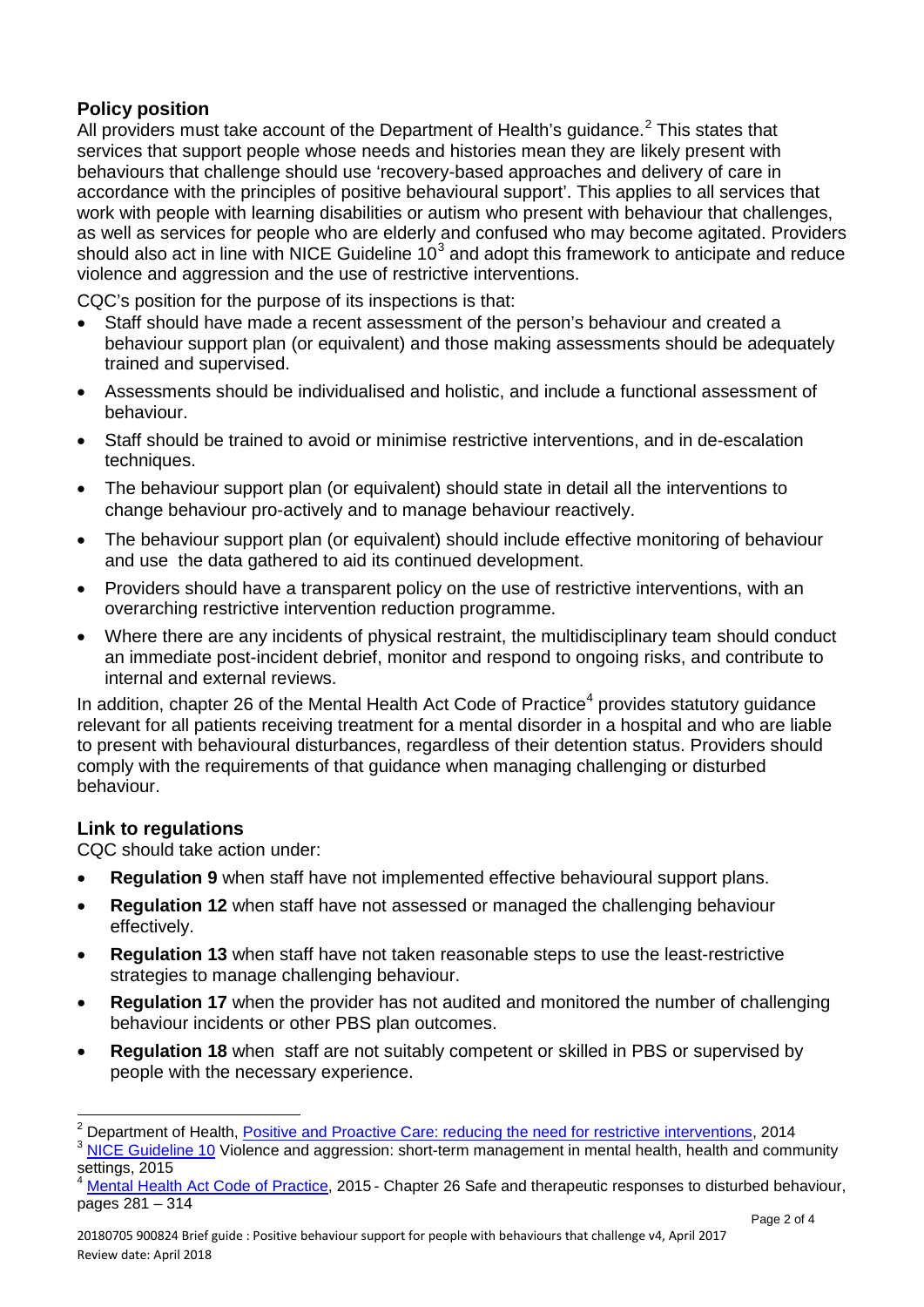## **Policy position**

All providers must take account of the Department of Health's guidance.<sup>[2](#page-1-0)</sup> This states that services that support people whose needs and histories mean they are likely present with behaviours that challenge should use 'recovery-based approaches and delivery of care in accordance with the principles of positive behavioural support'. This applies to all services that work with people with learning disabilities or autism who present with behaviour that challenges, as well as services for people who are elderly and confused who may become agitated. Providers should also act in line with NICE Guideline  $10<sup>3</sup>$  $10<sup>3</sup>$  $10<sup>3</sup>$  and adopt this framework to anticipate and reduce violence and aggression and the use of restrictive interventions.

CQC's position for the purpose of its inspections is that:

- Staff should have made a recent assessment of the person's behaviour and created a behaviour support plan (or equivalent) and those making assessments should be adequately trained and supervised.
- Assessments should be individualised and holistic, and include a functional assessment of behaviour.
- Staff should be trained to avoid or minimise restrictive interventions, and in de-escalation techniques.
- The behaviour support plan (or equivalent) should state in detail all the interventions to change behaviour pro-actively and to manage behaviour reactively.
- The behaviour support plan (or equivalent) should include effective monitoring of behaviour and use the data gathered to aid its continued development.
- Providers should have a transparent policy on the use of restrictive interventions, with an overarching restrictive intervention reduction programme.
- Where there are any incidents of physical restraint, the multidisciplinary team should conduct an immediate post-incident debrief, monitor and respond to ongoing risks, and contribute to internal and external reviews.

In addition, chapter 26 of the Mental Health Act Code of Practice<sup>[4](#page-1-2)</sup> provides statutory guidance relevant for all patients receiving treatment for a mental disorder in a hospital and who are liable to present with behavioural disturbances, regardless of their detention status. Providers should comply with the requirements of that guidance when managing challenging or disturbed behaviour.

## **Link to regulations**

 $\overline{a}$ 

CQC should take action under:

- **Regulation 9** when staff have not implemented effective behavioural support plans.
- **Regulation 12** when staff have not assessed or managed the challenging behaviour effectively.
- **Regulation 13** when staff have not taken reasonable steps to use the least-restrictive strategies to manage challenging behaviour.
- **Regulation 17** when the provider has not audited and monitored the number of challenging behaviour incidents or other PBS plan outcomes.
- **Regulation 18** when staff are not suitably competent or skilled in PBS or supervised by people with the necessary experience.

<span id="page-1-0"></span><sup>&</sup>lt;sup>2</sup> Department of Health, *Positive and Proactive Care: reducing the need for restrictive interventions, 2014*  $^3$  [NICE Guideline 10](https://www.nice.org.uk/guidance/ng10?unlid=97967337201659173037) Violence and aggression: short-term management in mental health, health and community

<span id="page-1-1"></span>settings, 2015

<span id="page-1-2"></span><sup>4</sup> [Mental Health Act Code of Practice,](https://www.gov.uk/government/publications/code-of-practice-mental-health-act-1983) 2015 - Chapter 26 Safe and therapeutic responses to disturbed behaviour, pages 281 – 314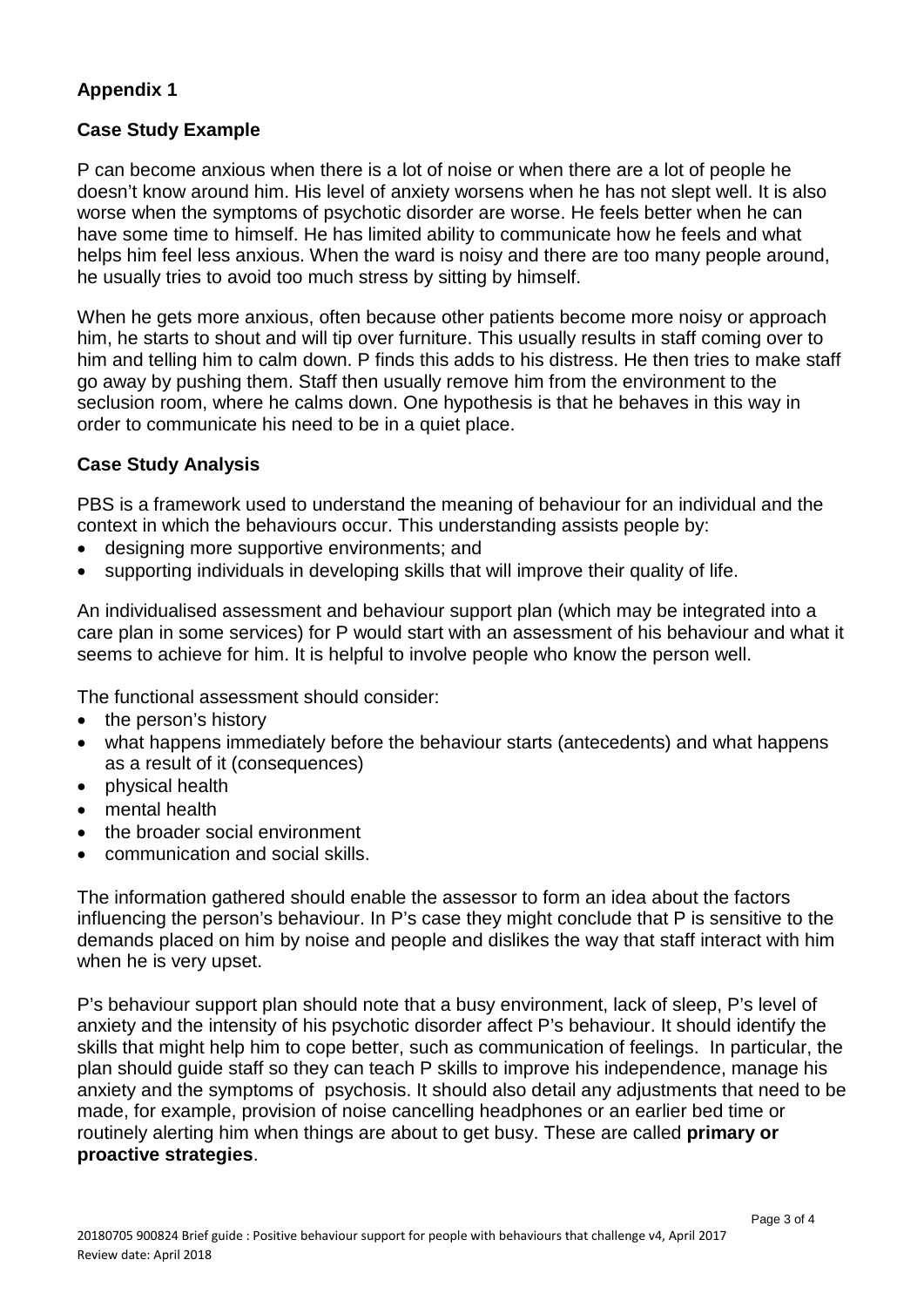### **Appendix 1**

#### **Case Study Example**

P can become anxious when there is a lot of noise or when there are a lot of people he doesn't know around him. His level of anxiety worsens when he has not slept well. It is also worse when the symptoms of psychotic disorder are worse. He feels better when he can have some time to himself. He has limited ability to communicate how he feels and what helps him feel less anxious. When the ward is noisy and there are too many people around, he usually tries to avoid too much stress by sitting by himself.

When he gets more anxious, often because other patients become more noisy or approach him, he starts to shout and will tip over furniture. This usually results in staff coming over to him and telling him to calm down. P finds this adds to his distress. He then tries to make staff go away by pushing them. Staff then usually remove him from the environment to the seclusion room, where he calms down. One hypothesis is that he behaves in this way in order to communicate his need to be in a quiet place.

#### **Case Study Analysis**

PBS is a framework used to understand the meaning of behaviour for an individual and the context in which the behaviours occur. This understanding assists people by:

- designing more supportive environments; and
- supporting individuals in developing skills that will improve their quality of life.

An individualised assessment and behaviour support plan (which may be integrated into a care plan in some services) for P would start with an assessment of his behaviour and what it seems to achieve for him. It is helpful to involve people who know the person well.

The functional assessment should consider:

- the person's history
- what happens immediately before the behaviour starts (antecedents) and what happens as a result of it (consequences)
- physical health
- mental health
- the broader social environment
- communication and social skills.

The information gathered should enable the assessor to form an idea about the factors influencing the person's behaviour. In P's case they might conclude that P is sensitive to the demands placed on him by noise and people and dislikes the way that staff interact with him when he is very upset.

P's behaviour support plan should note that a busy environment, lack of sleep, P's level of anxiety and the intensity of his psychotic disorder affect P's behaviour. It should identify the skills that might help him to cope better, such as communication of feelings. In particular, the plan should guide staff so they can teach P skills to improve his independence, manage his anxiety and the symptoms of psychosis. It should also detail any adjustments that need to be made, for example, provision of noise cancelling headphones or an earlier bed time or routinely alerting him when things are about to get busy. These are called **primary or proactive strategies**.